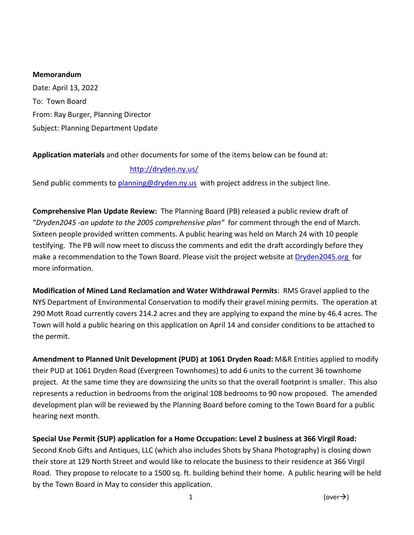### **Memorandum**

Date: April 13, 2022 To: Town Board From: Ray Burger, Planning Director Subject: Planning Department Update

# **Application materials** and other documents for some of the items below can be found at:

# <http://dryden.ny.us/>

Send public comments to [planning@dryden.ny.us](mailto:planning@dryden.ny.us) with project address in the subject line.

**Comprehensive Plan Update Review:** The Planning Board (PB) released a public review draft of "*Dryden2045 -an update to the 2005 comprehensive plan"* for comment through the end of March. Sixteen people provided written comments. A public hearing was held on March 24 with 10 people testifying. The PB will now meet to discuss the comments and edit the draft accordingly before they make a recommendation to the Town Board. Please visit the project website at [Dryden2045.org](https://www.dryden2045.org/) for more information.

**Modification of Mined Land Reclamation and Water Withdrawal Permits**: RMS Gravel applied to the NYS Department of Environmental Conservation to modify their gravel mining permits. The operation at 290 Mott Road currently covers 214.2 acres and they are applying to expand the mine by 46.4 acres. The Town will hold a public hearing on this application on April 14 and consider conditions to be attached to the permit.

**Amendment to Planned Unit Development (PUD) at 1061 Dryden Road:** M&R Entities applied to modify their PUD at 1061 Dryden Road (Evergreen Townhomes) to add 6 units to the current 36 townhome project. At the same time they are downsizing the units so that the overall footprint is smaller. This also represents a reduction in bedrooms from the original 108 bedrooms to 90 now proposed. The amended development plan will be reviewed by the Planning Board before coming to the Town Board for a public hearing next month.

**Special Use Permit (SUP) application for a Home Occupation: Level 2 business at 366 Virgil Road:**  Second Knob Gifts and Antiques, LLC (which also includes Shots by Shana Photography) is closing down their store at 129 North Street and would like to relocate the business to their residence at 366 Virgil Road. They propose to relocate to a 1500 sq. ft. building behind their home. A public hearing will be held by the Town Board in May to consider this application.